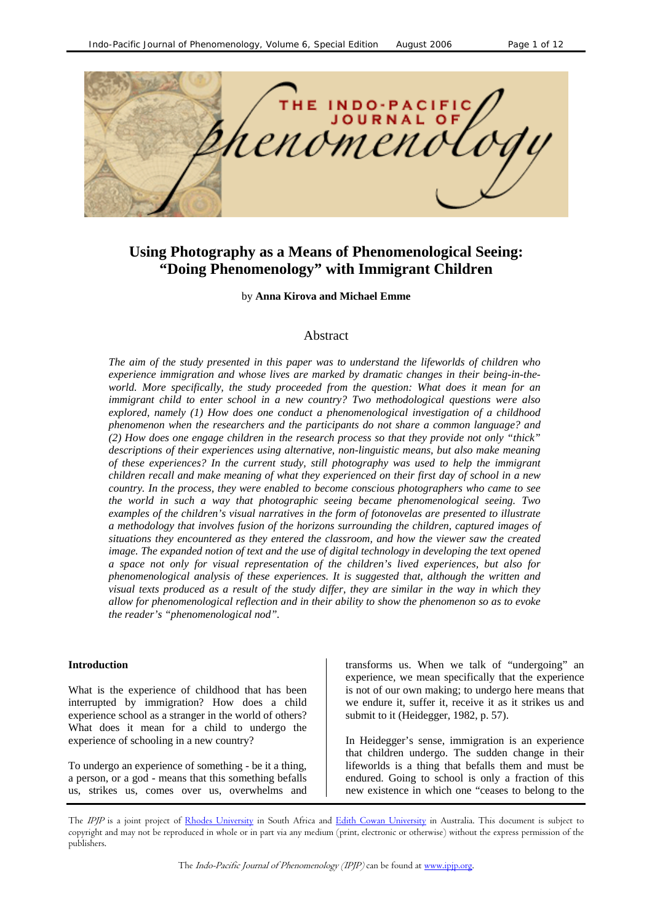

# **Using Photography as a Means of Phenomenological Seeing: "Doing Phenomenology" with Immigrant Children**

by **Anna Kirova and Michael Emme**

#### Abstract

*The aim of the study presented in this paper was to understand the lifeworlds of children who experience immigration and whose lives are marked by dramatic changes in their being-in-the*world. More specifically, the study proceeded from the question: What does it mean for an *immigrant child to enter school in a new country? Two methodological questions were also explored, namely (1) How does one conduct a phenomenological investigation of a childhood phenomenon when the researchers and the participants do not share a common language? and (2) How does one engage children in the research process so that they provide not only "thick" descriptions of their experiences using alternative, non-linguistic means, but also make meaning of these experiences? In the current study, still photography was used to help the immigrant children recall and make meaning of what they experienced on their first day of school in a new country. In the process, they were enabled to become conscious photographers who came to see the world in such a way that photographic seeing became phenomenological seeing. Two examples of the children's visual narratives in the form of fotonovelas are presented to illustrate a methodology that involves fusion of the horizons surrounding the children, captured images of situations they encountered as they entered the classroom, and how the viewer saw the created image. The expanded notion of text and the use of digital technology in developing the text opened a space not only for visual representation of the children's lived experiences, but also for phenomenological analysis of these experiences. It is suggested that, although the written and visual texts produced as a result of the study differ, they are similar in the way in which they allow for phenomenological reflection and in their ability to show the phenomenon so as to evoke the reader's "phenomenological nod".* 

### **Introduction**

What is the experience of childhood that has been interrupted by immigration? How does a child experience school as a stranger in the world of others? What does it mean for a child to undergo the experience of schooling in a new country?

To undergo an experience of something - be it a thing, a person, or a god - means that this something befalls us, strikes us, comes over us, overwhelms and transforms us. When we talk of "undergoing" an experience, we mean specifically that the experience is not of our own making; to undergo here means that we endure it, suffer it, receive it as it strikes us and submit to it (Heidegger, 1982, p. 57).

In Heidegger's sense, immigration is an experience that children undergo. The sudden change in their lifeworlds is a thing that befalls them and must be endured. Going to school is only a fraction of this new existence in which one "ceases to belong to the

The IPJP is a joint project of Rhodes University in South Africa and Edith Cowan University in Australia. This document is subject to copyright and may not be reproduced in whole or in part via any medium (print, electronic or otherwise) without the express permission of the publishers.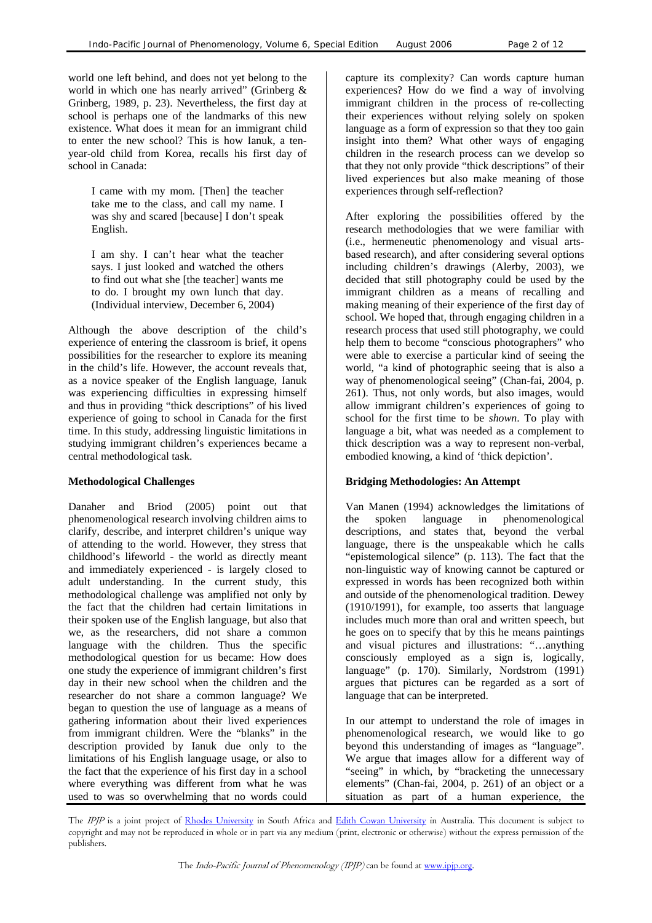world one left behind, and does not yet belong to the world in which one has nearly arrived" (Grinberg & Grinberg, 1989, p. 23). Nevertheless, the first day at school is perhaps one of the landmarks of this new existence. What does it mean for an immigrant child to enter the new school? This is how Ianuk, a tenyear-old child from Korea, recalls his first day of school in Canada:

I came with my mom. [Then] the teacher take me to the class, and call my name. I was shy and scared [because] I don't speak English.

I am shy. I can't hear what the teacher says. I just looked and watched the others to find out what she [the teacher] wants me to do. I brought my own lunch that day. (Individual interview, December 6, 2004)

Although the above description of the child's experience of entering the classroom is brief, it opens possibilities for the researcher to explore its meaning in the child's life. However, the account reveals that, as a novice speaker of the English language, Ianuk was experiencing difficulties in expressing himself and thus in providing "thick descriptions" of his lived experience of going to school in Canada for the first time. In this study, addressing linguistic limitations in studying immigrant children's experiences became a central methodological task.

### **Methodological Challenges**

Danaher and Briod (2005) point out that phenomenological research involving children aims to clarify, describe, and interpret children's unique way of attending to the world. However, they stress that childhood's lifeworld - the world as directly meant and immediately experienced - is largely closed to adult understanding. In the current study, this methodological challenge was amplified not only by the fact that the children had certain limitations in their spoken use of the English language, but also that we, as the researchers, did not share a common language with the children. Thus the specific methodological question for us became: How does one study the experience of immigrant children's first day in their new school when the children and the researcher do not share a common language? We began to question the use of language as a means of gathering information about their lived experiences from immigrant children. Were the "blanks" in the description provided by Ianuk due only to the limitations of his English language usage, or also to the fact that the experience of his first day in a school where everything was different from what he was used to was so overwhelming that no words could

capture its complexity? Can words capture human experiences? How do we find a way of involving immigrant children in the process of re-collecting their experiences without relying solely on spoken language as a form of expression so that they too gain insight into them? What other ways of engaging children in the research process can we develop so that they not only provide "thick descriptions" of their lived experiences but also make meaning of those experiences through self-reflection?

After exploring the possibilities offered by the research methodologies that we were familiar with (i.e., hermeneutic phenomenology and visual artsbased research), and after considering several options including children's drawings (Alerby, 2003), we decided that still photography could be used by the immigrant children as a means of recalling and making meaning of their experience of the first day of school. We hoped that, through engaging children in a research process that used still photography, we could help them to become "conscious photographers" who were able to exercise a particular kind of seeing the world, "a kind of photographic seeing that is also a way of phenomenological seeing" (Chan-fai, 2004, p. 261). Thus, not only words, but also images, would allow immigrant children's experiences of going to school for the first time to be *shown*. To play with language a bit, what was needed as a complement to thick description was a way to represent non-verbal, embodied knowing, a kind of 'thick depiction'.

## **Bridging Methodologies: An Attempt**

Van Manen (1994) acknowledges the limitations of the spoken language in phenomenological descriptions, and states that, beyond the verbal language, there is the unspeakable which he calls "epistemological silence" (p. 113). The fact that the non-linguistic way of knowing cannot be captured or expressed in words has been recognized both within and outside of the phenomenological tradition. Dewey (1910/1991), for example, too asserts that language includes much more than oral and written speech, but he goes on to specify that by this he means paintings and visual pictures and illustrations: "…anything consciously employed as a sign is, logically, language" (p. 170). Similarly, Nordstrom (1991) argues that pictures can be regarded as a sort of language that can be interpreted.

In our attempt to understand the role of images in phenomenological research, we would like to go beyond this understanding of images as "language". We argue that images allow for a different way of "seeing" in which, by "bracketing the unnecessary elements" (Chan-fai, 2004, p. 261) of an object or a situation as part of a human experience, the

The IPJP is a joint project of Rhodes University in South Africa and Edith Cowan University in Australia. This document is subject to copyright and may not be reproduced in whole or in part via any medium (print, electronic or otherwise) without the express permission of the publishers.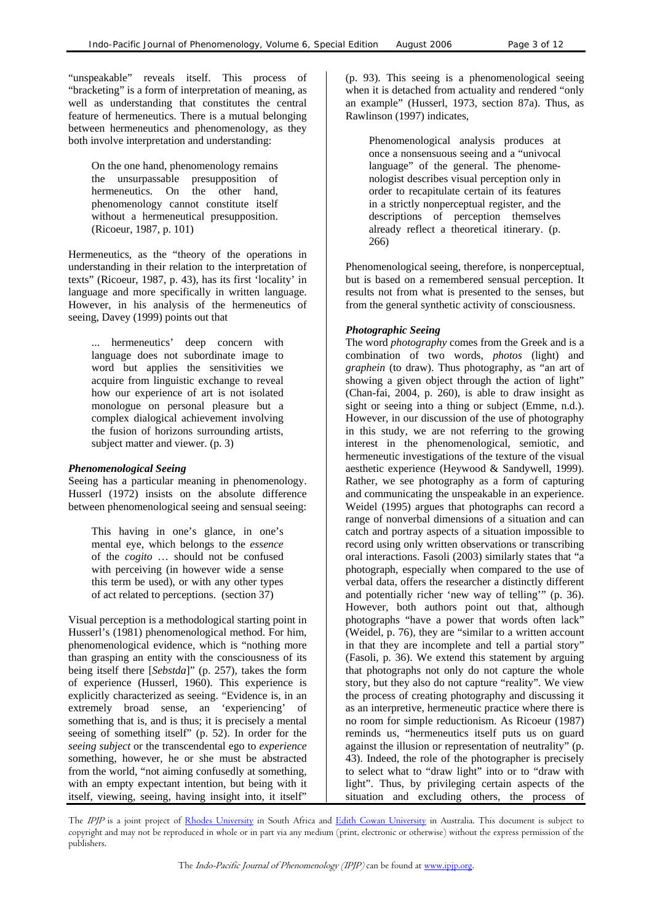"unspeakable" reveals itself. This process of "bracketing" is a form of interpretation of meaning, as well as understanding that constitutes the central feature of hermeneutics. There is a mutual belonging between hermeneutics and phenomenology, as they both involve interpretation and understanding:

On the one hand, phenomenology remains the unsurpassable presupposition of hermeneutics. On the other hand, phenomenology cannot constitute itself without a hermeneutical presupposition. (Ricoeur, 1987, p. 101)

Hermeneutics, as the "theory of the operations in understanding in their relation to the interpretation of texts" (Ricoeur, 1987, p. 43), has its first 'locality' in language and more specifically in written language. However, in his analysis of the hermeneutics of seeing, Davey (1999) points out that

... hermeneutics' deep concern with language does not subordinate image to word but applies the sensitivities we acquire from linguistic exchange to reveal how our experience of art is not isolated monologue on personal pleasure but a complex dialogical achievement involving the fusion of horizons surrounding artists, subject matter and viewer. (p. 3)

#### *Phenomenological Seeing*

Seeing has a particular meaning in phenomenology. Husserl (1972) insists on the absolute difference between phenomenological seeing and sensual seeing:

This having in one's glance, in one's mental eye, which belongs to the *essence*  of the *cogito* … should not be confused with perceiving (in however wide a sense this term be used), or with any other types of act related to perceptions. (section 37)

Visual perception is a methodological starting point in Husserl's (1981) phenomenological method. For him, phenomenological evidence, which is "nothing more than grasping an entity with the consciousness of its being itself there [*Sebstda*]" (p. 257), takes the form of experience (Husserl, 1960). This experience is explicitly characterized as seeing. "Evidence is, in an extremely broad sense, an 'experiencing' of something that is, and is thus; it is precisely a mental seeing of something itself" (p. 52). In order for the *seeing subject* or the transcendental ego to *experience* something, however, he or she must be abstracted from the world, "not aiming confusedly at something, with an empty expectant intention, but being with it itself, viewing, seeing, having insight into, it itself"

(p. 93). This seeing is a phenomenological seeing when it is detached from actuality and rendered "only an example" (Husserl, 1973, section 87a). Thus, as Rawlinson (1997) indicates,

Phenomenological analysis produces at once a nonsensuous seeing and a "univocal language" of the general. The phenomenologist describes visual perception only in order to recapitulate certain of its features in a strictly nonperceptual register, and the descriptions of perception themselves already reflect a theoretical itinerary. (p. 266)

Phenomenological seeing, therefore, is nonperceptual, but is based on a remembered sensual perception. It results not from what is presented to the senses, but from the general synthetic activity of consciousness.

### *Photographic Seeing*

The word *photography* comes from the Greek and is a combination of two words, *photos* (light) and *graphein* (to draw). Thus photography, as "an art of showing a given object through the action of light" (Chan-fai, 2004, p. 260), is able to draw insight as sight or seeing into a thing or subject (Emme, n.d.). However, in our discussion of the use of photography in this study, we are not referring to the growing interest in the phenomenological, semiotic, and hermeneutic investigations of the texture of the visual aesthetic experience (Heywood & Sandywell, 1999). Rather, we see photography as a form of capturing and communicating the unspeakable in an experience. Weidel (1995) argues that photographs can record a range of nonverbal dimensions of a situation and can catch and portray aspects of a situation impossible to record using only written observations or transcribing oral interactions. Fasoli (2003) similarly states that "a photograph, especially when compared to the use of verbal data, offers the researcher a distinctly different and potentially richer 'new way of telling'" (p. 36). However, both authors point out that, although photographs "have a power that words often lack" (Weidel, p. 76), they are "similar to a written account in that they are incomplete and tell a partial story" (Fasoli, p. 36). We extend this statement by arguing that photographs not only do not capture the whole story, but they also do not capture "reality". We view the process of creating photography and discussing it as an interpretive, hermeneutic practice where there is no room for simple reductionism. As Ricoeur (1987) reminds us, "hermeneutics itself puts us on guard against the illusion or representation of neutrality" (p. 43). Indeed, the role of the photographer is precisely to select what to "draw light" into or to "draw with light". Thus, by privileging certain aspects of the situation and excluding others, the process of

The IPJP is a joint project of Rhodes University in South Africa and Edith Cowan University in Australia. This document is subject to copyright and may not be reproduced in whole or in part via any medium (print, electronic or otherwise) without the express permission of the publishers.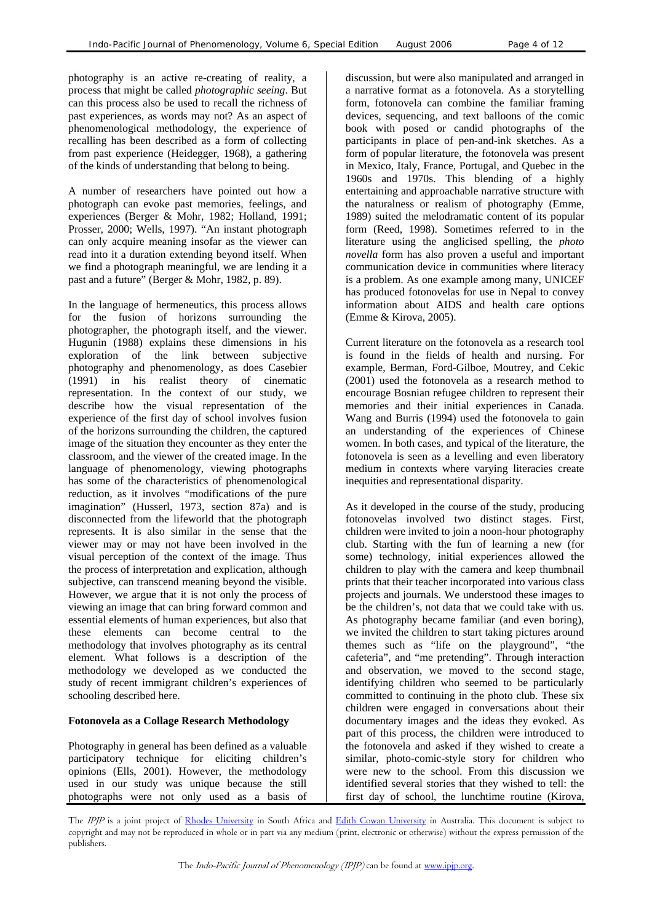photography is an active re-creating of reality, a process that might be called *photographic seeing*. But can this process also be used to recall the richness of past experiences, as words may not? As an aspect of phenomenological methodology, the experience of recalling has been described as a form of collecting from past experience (Heidegger, 1968), a gathering of the kinds of understanding that belong to being.

A number of researchers have pointed out how a photograph can evoke past memories, feelings, and experiences (Berger & Mohr, 1982; Holland, 1991; Prosser, 2000; Wells, 1997). "An instant photograph can only acquire meaning insofar as the viewer can read into it a duration extending beyond itself. When we find a photograph meaningful, we are lending it a past and a future" (Berger & Mohr, 1982, p. 89).

In the language of hermeneutics, this process allows for the fusion of horizons surrounding the photographer, the photograph itself, and the viewer. Hugunin (1988) explains these dimensions in his exploration of the link between subjective photography and phenomenology, as does Casebier (1991) in his realist theory of cinematic representation. In the context of our study, we describe how the visual representation of the experience of the first day of school involves fusion of the horizons surrounding the children, the captured image of the situation they encounter as they enter the classroom, and the viewer of the created image. In the language of phenomenology, viewing photographs has some of the characteristics of phenomenological reduction, as it involves "modifications of the pure imagination" (Husserl, 1973, section 87a) and is disconnected from the lifeworld that the photograph represents. It is also similar in the sense that the viewer may or may not have been involved in the visual perception of the context of the image. Thus the process of interpretation and explication, although subjective, can transcend meaning beyond the visible. However, we argue that it is not only the process of viewing an image that can bring forward common and essential elements of human experiences, but also that these elements can become central to the methodology that involves photography as its central element. What follows is a description of the methodology we developed as we conducted the study of recent immigrant children's experiences of schooling described here.

#### **Fotonovela as a Collage Research Methodology**

Photography in general has been defined as a valuable participatory technique for eliciting children's opinions (Ells, 2001). However, the methodology used in our study was unique because the still photographs were not only used as a basis of

discussion, but were also manipulated and arranged in a narrative format as a fotonovela. As a storytelling form, fotonovela can combine the familiar framing devices, sequencing, and text balloons of the comic book with posed or candid photographs of the participants in place of pen-and-ink sketches. As a form of popular literature, the fotonovela was present in Mexico, Italy, France, Portugal, and Quebec in the 1960s and 1970s. This blending of a highly entertaining and approachable narrative structure with the naturalness or realism of photography (Emme, 1989) suited the melodramatic content of its popular form (Reed, 1998). Sometimes referred to in the literature using the anglicised spelling, the *photo novella* form has also proven a useful and important communication device in communities where literacy is a problem. As one example among many, UNICEF has produced fotonovelas for use in Nepal to convey information about AIDS and health care options (Emme & Kirova, 2005).

Current literature on the fotonovela as a research tool is found in the fields of health and nursing. For example, Berman, Ford-Gilboe, Moutrey, and Cekic (2001) used the fotonovela as a research method to encourage Bosnian refugee children to represent their memories and their initial experiences in Canada. Wang and Burris (1994) used the fotonovela to gain an understanding of the experiences of Chinese women. In both cases, and typical of the literature, the fotonovela is seen as a levelling and even liberatory medium in contexts where varying literacies create inequities and representational disparity.

As it developed in the course of the study, producing fotonovelas involved two distinct stages. First, children were invited to join a noon-hour photography club. Starting with the fun of learning a new (for some) technology, initial experiences allowed the children to play with the camera and keep thumbnail prints that their teacher incorporated into various class projects and journals. We understood these images to be the children's, not data that we could take with us. As photography became familiar (and even boring), we invited the children to start taking pictures around themes such as "life on the playground", "the cafeteria", and "me pretending". Through interaction and observation, we moved to the second stage, identifying children who seemed to be particularly committed to continuing in the photo club. These six children were engaged in conversations about their documentary images and the ideas they evoked. As part of this process, the children were introduced to the fotonovela and asked if they wished to create a similar, photo-comic-style story for children who were new to the school. From this discussion we identified several stories that they wished to tell: the first day of school, the lunchtime routine (Kirova,

The IPJP is a joint project of Rhodes University in South Africa and Edith Cowan University in Australia. This document is subject to copyright and may not be reproduced in whole or in part via any medium (print, electronic or otherwise) without the express permission of the publishers.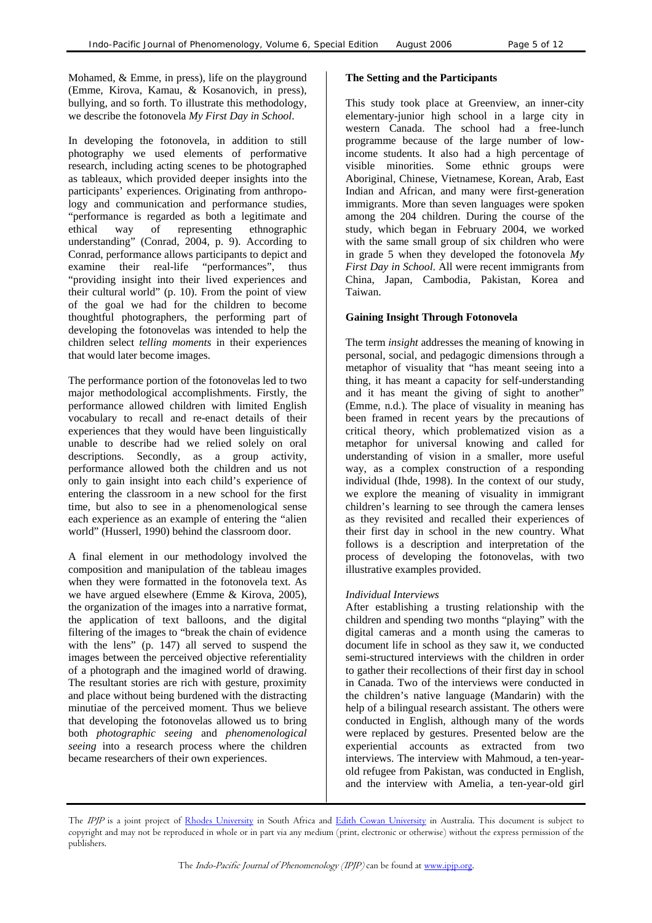Mohamed, & Emme, in press), life on the playground (Emme, Kirova, Kamau, & Kosanovich, in press), bullying, and so forth. To illustrate this methodology, we describe the fotonovela *My First Day in School*.

In developing the fotonovela, in addition to still photography we used elements of performative research, including acting scenes to be photographed as tableaux, which provided deeper insights into the participants' experiences. Originating from anthropology and communication and performance studies, "performance is regarded as both a legitimate and ethical way of representing ethnographic understanding" (Conrad, 2004, p. 9). According to Conrad, performance allows participants to depict and examine their real-life "performances", thus "providing insight into their lived experiences and their cultural world" (p. 10). From the point of view of the goal we had for the children to become thoughtful photographers, the performing part of developing the fotonovelas was intended to help the children select *telling moments* in their experiences that would later become images.

The performance portion of the fotonovelas led to two major methodological accomplishments. Firstly, the performance allowed children with limited English vocabulary to recall and re-enact details of their experiences that they would have been linguistically unable to describe had we relied solely on oral descriptions. Secondly, as a group activity, performance allowed both the children and us not only to gain insight into each child's experience of entering the classroom in a new school for the first time, but also to see in a phenomenological sense each experience as an example of entering the "alien world" (Husserl, 1990) behind the classroom door.

A final element in our methodology involved the composition and manipulation of the tableau images when they were formatted in the fotonovela text. As we have argued elsewhere (Emme & Kirova, 2005), the organization of the images into a narrative format, the application of text balloons, and the digital filtering of the images to "break the chain of evidence with the lens" (p. 147) all served to suspend the images between the perceived objective referentiality of a photograph and the imagined world of drawing. The resultant stories are rich with gesture, proximity and place without being burdened with the distracting minutiae of the perceived moment. Thus we believe that developing the fotonovelas allowed us to bring both *photographic seeing* and *phenomenological seeing* into a research process where the children became researchers of their own experiences.

### **The Setting and the Participants**

This study took place at Greenview, an inner-city elementary-junior high school in a large city in western Canada. The school had a free-lunch programme because of the large number of lowincome students. It also had a high percentage of visible minorities. Some ethnic groups were Aboriginal, Chinese, Vietnamese, Korean, Arab, East Indian and African, and many were first-generation immigrants. More than seven languages were spoken among the 204 children. During the course of the study, which began in February 2004, we worked with the same small group of six children who were in grade 5 when they developed the fotonovela *My First Day in School*. All were recent immigrants from China, Japan, Cambodia, Pakistan, Korea and Taiwan.

### **Gaining Insight Through Fotonovela**

The term *insight* addresses the meaning of knowing in personal, social, and pedagogic dimensions through a metaphor of visuality that "has meant seeing into a thing, it has meant a capacity for self-understanding and it has meant the giving of sight to another" (Emme, n.d.). The place of visuality in meaning has been framed in recent years by the precautions of critical theory, which problematized vision as a metaphor for universal knowing and called for understanding of vision in a smaller, more useful way, as a complex construction of a responding individual (Ihde, 1998). In the context of our study, we explore the meaning of visuality in immigrant children's learning to see through the camera lenses as they revisited and recalled their experiences of their first day in school in the new country. What follows is a description and interpretation of the process of developing the fotonovelas, with two illustrative examples provided.

### *Individual Interviews*

After establishing a trusting relationship with the children and spending two months "playing" with the digital cameras and a month using the cameras to document life in school as they saw it, we conducted semi-structured interviews with the children in order to gather their recollections of their first day in school in Canada. Two of the interviews were conducted in the children's native language (Mandarin) with the help of a bilingual research assistant. The others were conducted in English, although many of the words were replaced by gestures. Presented below are the experiential accounts as extracted from two interviews. The interview with Mahmoud, a ten-yearold refugee from Pakistan, was conducted in English, and the interview with Amelia, a ten-year-old girl

The IPJP is a joint project of Rhodes University in South Africa and Edith Cowan University in Australia. This document is subject to copyright and may not be reproduced in whole or in part via any medium (print, electronic or otherwise) without the express permission of the publishers.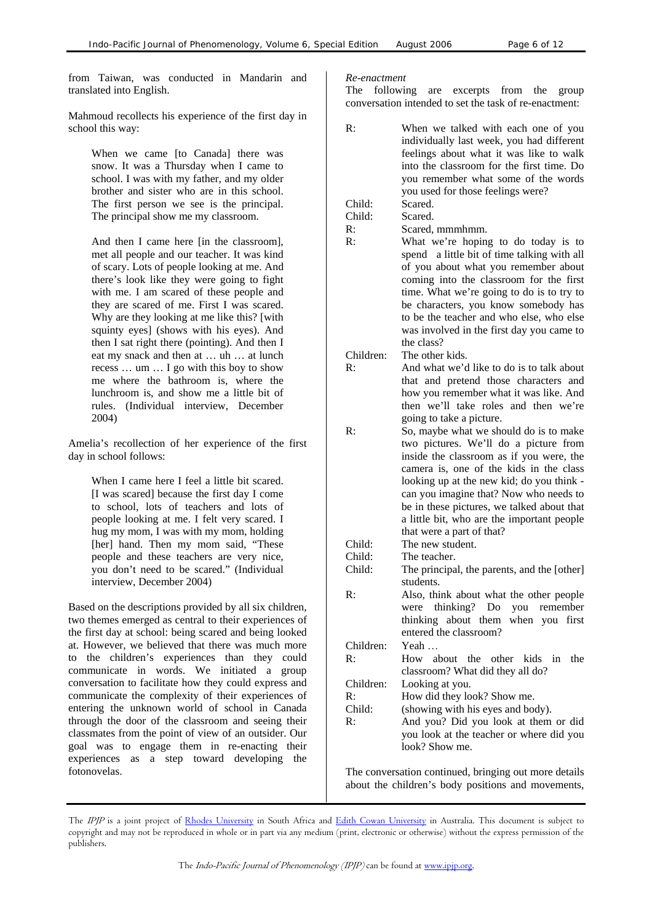from Taiwan, was conducted in Mandarin and translated into English.

Mahmoud recollects his experience of the first day in school this way:

When we came *[to Canada]* there was snow. It was a Thursday when I came to school. I was with my father, and my older brother and sister who are in this school. The first person we see is the principal. The principal show me my classroom.

And then I came here [in the classroom], met all people and our teacher. It was kind of scary. Lots of people looking at me. And there's look like they were going to fight with me. I am scared of these people and they are scared of me. First I was scared. Why are they looking at me like this? [with squinty eyes] (shows with his eyes). And then I sat right there (pointing). And then I eat my snack and then at … uh … at lunch recess … um … I go with this boy to show me where the bathroom is, where the lunchroom is, and show me a little bit of rules. (Individual interview, December 2004)

Amelia's recollection of her experience of the first day in school follows:

When I came here I feel a little bit scared. [I was scared] because the first day I come to school, lots of teachers and lots of people looking at me. I felt very scared. I hug my mom, I was with my mom, holding [her] hand. Then my mom said, "These people and these teachers are very nice, you don't need to be scared." (Individual interview, December 2004)

Based on the descriptions provided by all six children, two themes emerged as central to their experiences of the first day at school: being scared and being looked at. However, we believed that there was much more to the children's experiences than they could communicate in words. We initiated a group conversation to facilitate how they could express and communicate the complexity of their experiences of entering the unknown world of school in Canada through the door of the classroom and seeing their classmates from the point of view of an outsider. Our goal was to engage them in re-enacting their experiences as a step toward developing the fotonovelas.

### *Re-enactment*

The following are excerpts from the group conversation intended to set the task of re-enactment:

| R:                       | When we talked with each one of you<br>individually last week, you had different<br>feelings about what it was like to walk<br>into the classroom for the first time. Do<br>you remember what some of the words<br>you used for those feelings were? |
|--------------------------|------------------------------------------------------------------------------------------------------------------------------------------------------------------------------------------------------------------------------------------------------|
| Child:                   | Scared.                                                                                                                                                                                                                                              |
| Child:<br>$\mathbb{R}$ : | Scared.<br>Scared, mmmhmm.                                                                                                                                                                                                                           |
| R:                       | What we're hoping to do today is to                                                                                                                                                                                                                  |
|                          | spend a little bit of time talking with all<br>of you about what you remember about<br>coming into the classroom for the first                                                                                                                       |
|                          | time. What we're going to do is to try to<br>be characters, you know somebody has                                                                                                                                                                    |
|                          | to be the teacher and who else, who else                                                                                                                                                                                                             |
|                          | was involved in the first day you came to                                                                                                                                                                                                            |
|                          | the class?                                                                                                                                                                                                                                           |
| Children:                | The other kids.                                                                                                                                                                                                                                      |
| R:                       | And what we'd like to do is to talk about                                                                                                                                                                                                            |
|                          | that and pretend those characters and                                                                                                                                                                                                                |
|                          | how you remember what it was like. And<br>then we'll take roles and then we're                                                                                                                                                                       |
|                          | going to take a picture.                                                                                                                                                                                                                             |
| R:                       | So, maybe what we should do is to make                                                                                                                                                                                                               |
|                          | two pictures. We'll do a picture from                                                                                                                                                                                                                |
|                          | inside the classroom as if you were, the                                                                                                                                                                                                             |
|                          | camera is, one of the kids in the class                                                                                                                                                                                                              |
|                          | looking up at the new kid; do you think -                                                                                                                                                                                                            |
|                          | can you imagine that? Now who needs to<br>be in these pictures, we talked about that                                                                                                                                                                 |
|                          | a little bit, who are the important people                                                                                                                                                                                                           |
|                          | that were a part of that?                                                                                                                                                                                                                            |
| Child:                   | The new student.                                                                                                                                                                                                                                     |
| Child:                   | The teacher.                                                                                                                                                                                                                                         |
| Child:                   | The principal, the parents, and the [other]                                                                                                                                                                                                          |
|                          | students.                                                                                                                                                                                                                                            |
| R:                       | Also, think about what the other people                                                                                                                                                                                                              |
|                          | were<br>thinking? Do you remember<br>thinking about them when you first                                                                                                                                                                              |
|                          | entered the classroom?                                                                                                                                                                                                                               |
| Children:                | Yeah                                                                                                                                                                                                                                                 |
| R:                       | How about the other kids in the                                                                                                                                                                                                                      |
|                          | classroom? What did they all do?                                                                                                                                                                                                                     |
| Children:                | Looking at you.                                                                                                                                                                                                                                      |
| R:                       | How did they look? Show me.                                                                                                                                                                                                                          |
| Child:                   | (showing with his eyes and body).                                                                                                                                                                                                                    |
| R:                       | And you? Did you look at them or did<br>you look at the teacher or where did you                                                                                                                                                                     |
|                          | look? Show me.                                                                                                                                                                                                                                       |
|                          |                                                                                                                                                                                                                                                      |

The conversation continued, bringing out more details about the children's body positions and movements,

The IPJP is a joint project of Rhodes University in South Africa and Edith Cowan University in Australia. This document is subject to copyright and may not be reproduced in whole or in part via any medium (print, electronic or otherwise) without the express permission of the publishers.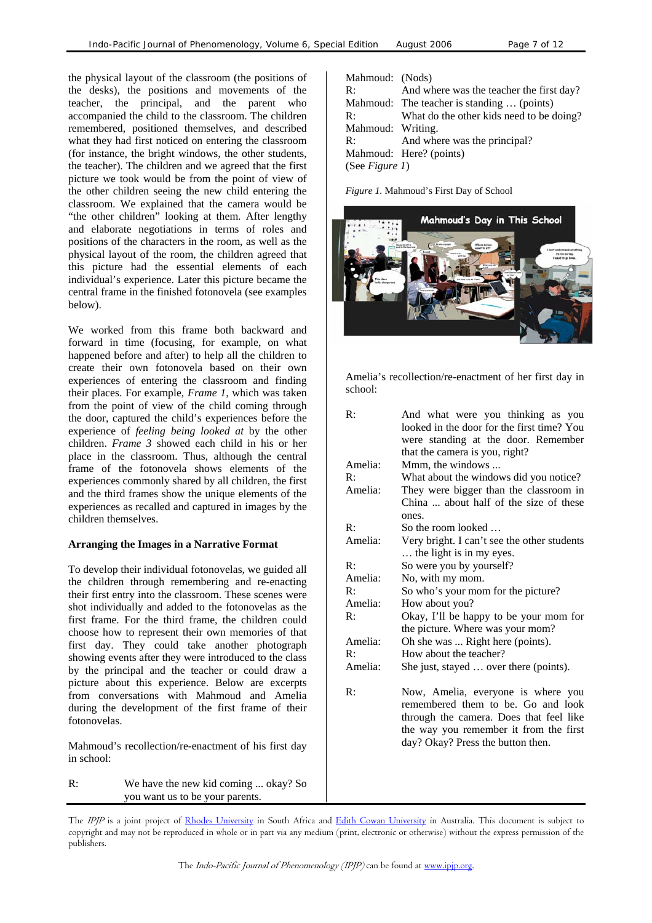the physical layout of the classroom (the positions of the desks), the positions and movements of the teacher, the principal, and the parent who accompanied the child to the classroom. The children remembered, positioned themselves, and described what they had first noticed on entering the classroom (for instance, the bright windows, the other students, the teacher). The children and we agreed that the first picture we took would be from the point of view of the other children seeing the new child entering the classroom. We explained that the camera would be "the other children" looking at them. After lengthy and elaborate negotiations in terms of roles and positions of the characters in the room, as well as the physical layout of the room, the children agreed that this picture had the essential elements of each individual's experience. Later this picture became the central frame in the finished fotonovela (see examples below).

We worked from this frame both backward and forward in time (focusing, for example, on what happened before and after) to help all the children to create their own fotonovela based on their own experiences of entering the classroom and finding their places. For example, *Frame 1*, which was taken from the point of view of the child coming through the door, captured the child's experiences before the experience of *feeling being looked at* by the other children. *Frame 3* showed each child in his or her place in the classroom. Thus, although the central frame of the fotonovela shows elements of the experiences commonly shared by all children, the first and the third frames show the unique elements of the experiences as recalled and captured in images by the children themselves.

#### **Arranging the Images in a Narrative Format**

To develop their individual fotonovelas, we guided all the children through remembering and re-enacting their first entry into the classroom. These scenes were shot individually and added to the fotonovelas as the first frame. For the third frame, the children could choose how to represent their own memories of that first day. They could take another photograph showing events after they were introduced to the class by the principal and the teacher or could draw a picture about this experience. Below are excerpts from conversations with Mahmoud and Amelia during the development of the first frame of their fotonovelas.

Mahmoud's recollection/re-enactment of his first day in school:

R: We have the new kid coming ... okay? So you want us to be your parents.

| Mahmoud: (Nods)   |                                            |
|-------------------|--------------------------------------------|
| R:                | And where was the teacher the first day?   |
|                   | Mahmoud: The teacher is standing  (points) |
| $\mathbf{R}$ :    | What do the other kids need to be doing?   |
| Mahmoud: Writing. |                                            |
| $\mathbf{R}$ :    | And where was the principal?               |
|                   | Mahmoud: Here? (points)                    |
| (See Figure 1)    |                                            |

*Figure 1.* Mahmoud's First Day of School



Amelia's recollection/re-enactment of her first day in school:

| And what were you thinking as you<br>looked in the door for the first time? You<br>were standing at the door. Remember<br>that the camera is you, right?                                           |
|----------------------------------------------------------------------------------------------------------------------------------------------------------------------------------------------------|
| Mmm, the windows                                                                                                                                                                                   |
| What about the windows did you notice?                                                                                                                                                             |
| They were bigger than the classroom in                                                                                                                                                             |
| China  about half of the size of these                                                                                                                                                             |
| ones.                                                                                                                                                                                              |
| So the room looked $\dots$                                                                                                                                                                         |
| Very bright. I can't see the other students                                                                                                                                                        |
| the light is in my eyes.                                                                                                                                                                           |
| So were you by yourself?                                                                                                                                                                           |
| No, with my mom.                                                                                                                                                                                   |
| So who's your mom for the picture?                                                                                                                                                                 |
| How about you?                                                                                                                                                                                     |
| Okay, I'll be happy to be your mom for                                                                                                                                                             |
| the picture. Where was your mom?                                                                                                                                                                   |
| Oh she was  Right here (points).                                                                                                                                                                   |
| How about the teacher?                                                                                                                                                                             |
| She just, stayed  over there (points).                                                                                                                                                             |
| Now, Amelia, everyone is where you<br>remembered them to be. Go and look<br>through the camera. Does that feel like<br>the way you remember it from the first<br>day? Okay? Press the button then. |
|                                                                                                                                                                                                    |

The IPJP is a joint project of Rhodes University in South Africa and Edith Cowan University in Australia. This document is subject to copyright and may not be reproduced in whole or in part via any medium (print, electronic or otherwise) without the express permission of the publishers.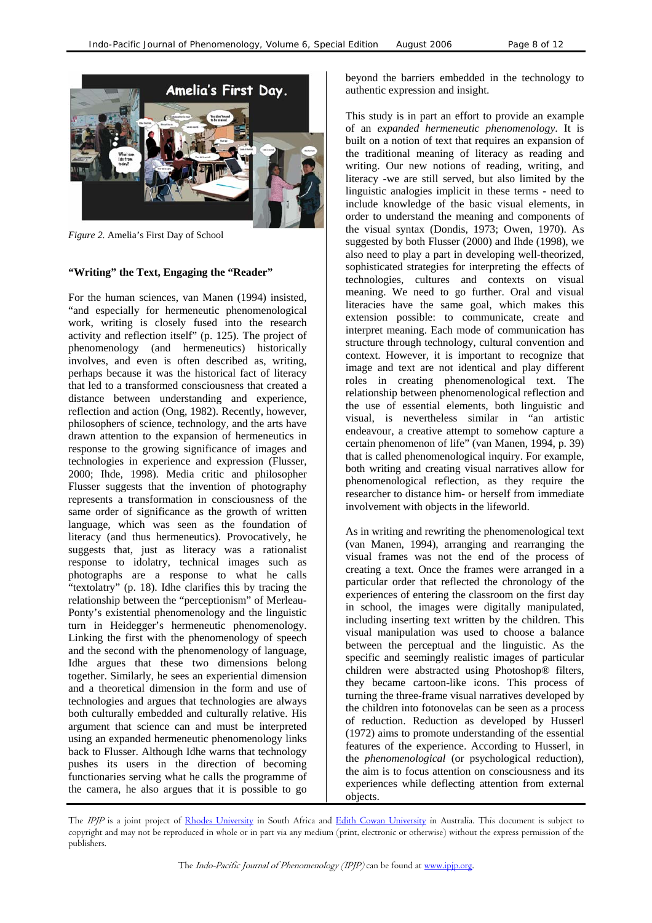

*Figure 2.* Amelia's First Day of School

#### **"Writing" the Text, Engaging the "Reader"**

For the human sciences, van Manen (1994) insisted, "and especially for hermeneutic phenomenological work, writing is closely fused into the research activity and reflection itself" (p. 125). The project of phenomenology (and hermeneutics) historically involves, and even is often described as, writing, perhaps because it was the historical fact of literacy that led to a transformed consciousness that created a distance between understanding and experience, reflection and action (Ong, 1982). Recently, however, philosophers of science, technology, and the arts have drawn attention to the expansion of hermeneutics in response to the growing significance of images and technologies in experience and expression (Flusser, 2000; Ihde, 1998). Media critic and philosopher Flusser suggests that the invention of photography represents a transformation in consciousness of the same order of significance as the growth of written language, which was seen as the foundation of literacy (and thus hermeneutics). Provocatively, he suggests that, just as literacy was a rationalist response to idolatry, technical images such as photographs are a response to what he calls "textolatry" (p. 18). Idhe clarifies this by tracing the relationship between the "perceptionism" of Merleau-Ponty's existential phenomenology and the linguistic turn in Heidegger's hermeneutic phenomenology. Linking the first with the phenomenology of speech and the second with the phenomenology of language, Idhe argues that these two dimensions belong together. Similarly, he sees an experiential dimension and a theoretical dimension in the form and use of technologies and argues that technologies are always both culturally embedded and culturally relative. His argument that science can and must be interpreted using an expanded hermeneutic phenomenology links back to Flusser. Although Idhe warns that technology pushes its users in the direction of becoming functionaries serving what he calls the programme of the camera, he also argues that it is possible to go

beyond the barriers embedded in the technology to authentic expression and insight.

This study is in part an effort to provide an example of an *expanded hermeneutic phenomenology*. It is built on a notion of text that requires an expansion of the traditional meaning of literacy as reading and writing. Our new notions of reading, writing, and literacy -we are still served, but also limited by the linguistic analogies implicit in these terms - need to include knowledge of the basic visual elements, in order to understand the meaning and components of the visual syntax (Dondis, 1973; Owen, 1970). As suggested by both Flusser (2000) and Ihde (1998), we also need to play a part in developing well-theorized, sophisticated strategies for interpreting the effects of technologies, cultures and contexts on visual meaning. We need to go further. Oral and visual literacies have the same goal, which makes this extension possible: to communicate, create and interpret meaning. Each mode of communication has structure through technology, cultural convention and context. However, it is important to recognize that image and text are not identical and play different roles in creating phenomenological text. The relationship between phenomenological reflection and the use of essential elements, both linguistic and visual, is nevertheless similar in "an artistic endeavour, a creative attempt to somehow capture a certain phenomenon of life" (van Manen, 1994, p. 39) that is called phenomenological inquiry. For example, both writing and creating visual narratives allow for phenomenological reflection, as they require the researcher to distance him- or herself from immediate involvement with objects in the lifeworld.

As in writing and rewriting the phenomenological text (van Manen, 1994), arranging and rearranging the visual frames was not the end of the process of creating a text. Once the frames were arranged in a particular order that reflected the chronology of the experiences of entering the classroom on the first day in school, the images were digitally manipulated, including inserting text written by the children. This visual manipulation was used to choose a balance between the perceptual and the linguistic. As the specific and seemingly realistic images of particular children were abstracted using Photoshop® filters, they became cartoon-like icons. This process of turning the three-frame visual narratives developed by the children into fotonovelas can be seen as a process of reduction. Reduction as developed by Husserl (1972) aims to promote understanding of the essential features of the experience. According to Husserl, in the *phenomenological* (or psychological reduction), the aim is to focus attention on consciousness and its experiences while deflecting attention from external objects.

The IPJP is a joint project of Rhodes University in South Africa and Edith Cowan University in Australia. This document is subject to copyright and may not be reproduced in whole or in part via any medium (print, electronic or otherwise) without the express permission of the publishers.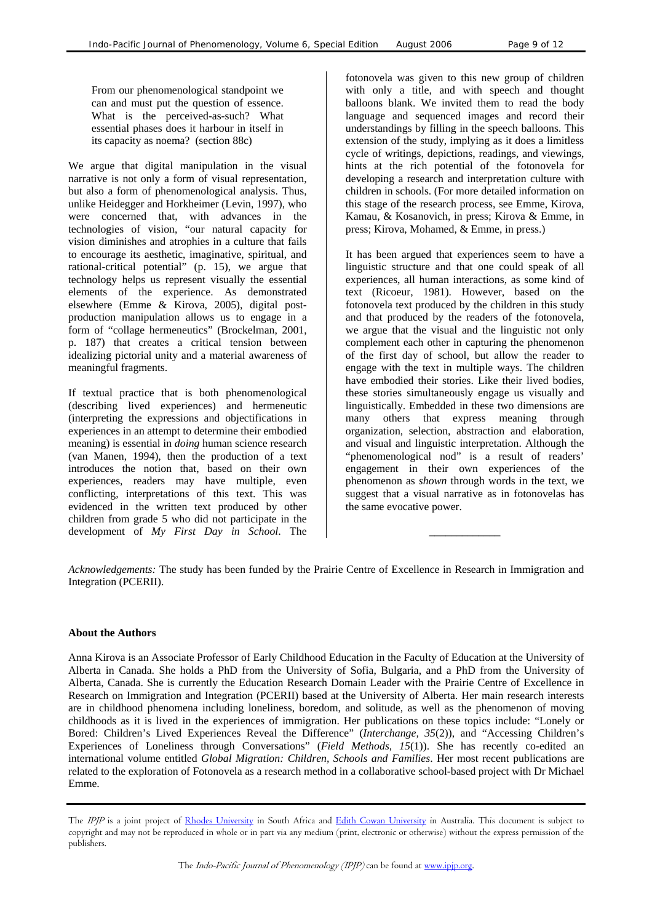From our phenomenological standpoint we can and must put the question of essence. What is the perceived-as-such? What essential phases does it harbour in itself in its capacity as noema? (section 88c)

We argue that digital manipulation in the visual narrative is not only a form of visual representation, but also a form of phenomenological analysis. Thus, unlike Heidegger and Horkheimer (Levin, 1997), who were concerned that, with advances in the technologies of vision, "our natural capacity for vision diminishes and atrophies in a culture that fails to encourage its aesthetic, imaginative, spiritual, and rational-critical potential" (p. 15), we argue that technology helps us represent visually the essential elements of the experience. As demonstrated elsewhere (Emme & Kirova, 2005), digital postproduction manipulation allows us to engage in a form of "collage hermeneutics" (Brockelman, 2001, p. 187) that creates a critical tension between idealizing pictorial unity and a material awareness of meaningful fragments.

If textual practice that is both phenomenological (describing lived experiences) and hermeneutic (interpreting the expressions and objectifications in experiences in an attempt to determine their embodied meaning) is essential in *doing* human science research (van Manen, 1994), then the production of a text introduces the notion that, based on their own experiences, readers may have multiple, even conflicting, interpretations of this text. This was evidenced in the written text produced by other children from grade 5 who did not participate in the development of *My First Day in School*. The

fotonovela was given to this new group of children with only a title, and with speech and thought balloons blank. We invited them to read the body language and sequenced images and record their understandings by filling in the speech balloons. This extension of the study, implying as it does a limitless cycle of writings, depictions, readings, and viewings, hints at the rich potential of the fotonovela for developing a research and interpretation culture with children in schools. (For more detailed information on this stage of the research process, see Emme, Kirova, Kamau, & Kosanovich, in press; Kirova & Emme, in press; Kirova, Mohamed, & Emme, in press.)

It has been argued that experiences seem to have a linguistic structure and that one could speak of all experiences, all human interactions, as some kind of text (Ricoeur, 1981). However, based on the fotonovela text produced by the children in this study and that produced by the readers of the fotonovela, we argue that the visual and the linguistic not only complement each other in capturing the phenomenon of the first day of school, but allow the reader to engage with the text in multiple ways. The children have embodied their stories. Like their lived bodies, these stories simultaneously engage us visually and linguistically. Embedded in these two dimensions are many others that express meaning through organization, selection, abstraction and elaboration, and visual and linguistic interpretation. Although the "phenomenological nod" is a result of readers' engagement in their own experiences of the phenomenon as *shown* through words in the text, we suggest that a visual narrative as in fotonovelas has the same evocative power.

\_\_\_\_\_\_\_\_\_\_\_\_\_

*Acknowledgements:* The study has been funded by the Prairie Centre of Excellence in Research in Immigration and Integration (PCERII).

#### **About the Authors**

Anna Kirova is an Associate Professor of Early Childhood Education in the Faculty of Education at the University of Alberta in Canada. She holds a PhD from the University of Sofia, Bulgaria, and a PhD from the University of Alberta, Canada. She is currently the Education Research Domain Leader with the Prairie Centre of Excellence in Research on Immigration and Integration (PCERII) based at the University of Alberta. Her main research interests are in childhood phenomena including loneliness, boredom, and solitude, as well as the phenomenon of moving childhoods as it is lived in the experiences of immigration. Her publications on these topics include: "Lonely or Bored: Children's Lived Experiences Reveal the Difference" (*Interchange, 35*(2)), and "Accessing Children's Experiences of Loneliness through Conversations" (*Field Methods*, *15*(1)). She has recently co-edited an international volume entitled *Global Migration: Children, Schools and Families*. Her most recent publications are related to the exploration of Fotonovela as a research method in a collaborative school-based project with Dr Michael Emme.

The IPJP is a joint project of Rhodes University in South Africa and Edith Cowan University in Australia. This document is subject to copyright and may not be reproduced in whole or in part via any medium (print, electronic or otherwise) without the express permission of the publishers.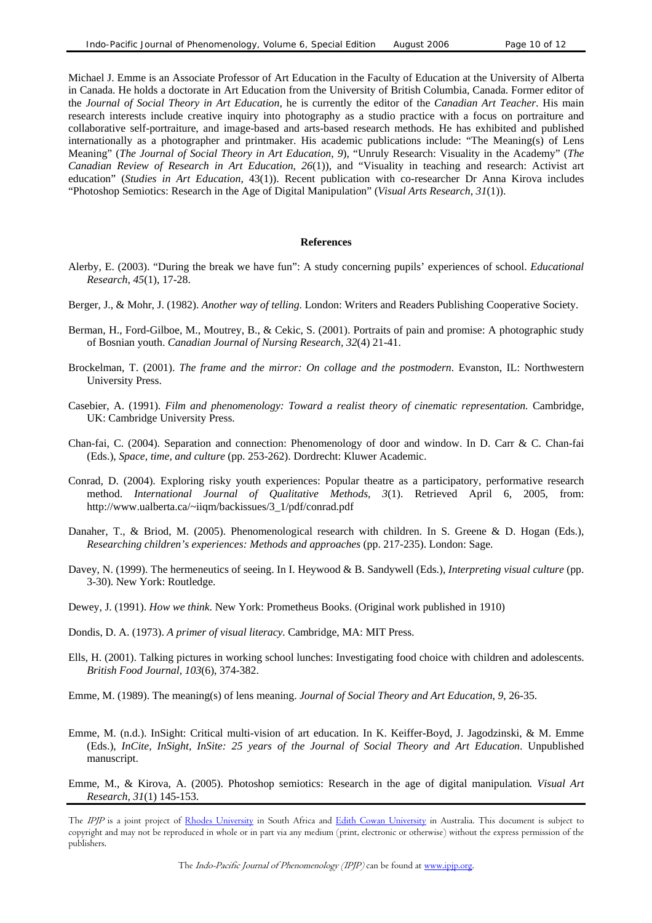Michael J. Emme is an Associate Professor of Art Education in the Faculty of Education at the University of Alberta in Canada. He holds a doctorate in Art Education from the University of British Columbia, Canada. Former editor of the *Journal of Social Theory in Art Education*, he is currently the editor of the *Canadian Art Teacher*. His main research interests include creative inquiry into photography as a studio practice with a focus on portraiture and collaborative self-portraiture, and image-based and arts-based research methods. He has exhibited and published internationally as a photographer and printmaker. His academic publications include: "The Meaning(s) of Lens Meaning" (*The Journal of Social Theory in Art Education*, *9*), "Unruly Research: Visuality in the Academy" (*The Canadian Review of Research in Art Education*, *26*(1)), and "Visuality in teaching and research: Activist art education" (*Studies in Art Education*, 43(1)). Recent publication with co-researcher Dr Anna Kirova includes "Photoshop Semiotics: Research in the Age of Digital Manipulation" (*Visual Arts Research*, *31*(1)).

#### **References**

- Alerby, E. (2003). "During the break we have fun": A study concerning pupils' experiences of school. *Educational Research*, *45*(1), 17-28.
- Berger, J., & Mohr, J. (1982). *Another way of telling*. London: Writers and Readers Publishing Cooperative Society.
- Berman, H., Ford-Gilboe, M., Moutrey, B., & Cekic, S. (2001). Portraits of pain and promise: A photographic study of Bosnian youth. *Canadian Journal of Nursing Research, 32*(4) 21-41.
- Brockelman, T. (2001). *The frame and the mirror: On collage and the postmodern*. Evanston, IL: Northwestern University Press.
- Casebier, A. (1991). *Film and phenomenology: Toward a realist theory of cinematic representation.* Cambridge, UK: Cambridge University Press.
- Chan-fai, C. (2004). Separation and connection: Phenomenology of door and window. In D. Carr & C. Chan-fai (Eds.), *Space, time, and culture* (pp. 253-262). Dordrecht: Kluwer Academic.
- Conrad, D. (2004). Exploring risky youth experiences: Popular theatre as a participatory, performative research method. *International Journal of Qualitative Methods, 3*(1). Retrieved April 6, 2005, from: http://www.ualberta.ca/~iiqm/backissues/3\_1/pdf/conrad.pdf
- Danaher, T., & Briod, M. (2005). Phenomenological research with children. In S. Greene & D. Hogan (Eds.), *Researching children's experiences: Methods and approaches* (pp. 217-235). London: Sage.
- Davey, N. (1999). The hermeneutics of seeing. In I. Heywood & B. Sandywell (Eds.), *Interpreting visual culture* (pp. 3-30). New York: Routledge.
- Dewey, J. (1991). *How we think*. New York: Prometheus Books. (Original work published in 1910)
- Dondis, D. A. (1973). *A primer of visual literacy.* Cambridge, MA: MIT Press.
- Ells, H. (2001). Talking pictures in working school lunches: Investigating food choice with children and adolescents. *British Food Journal, 103*(6), 374-382.
- Emme, M. (1989). The meaning(s) of lens meaning. *Journal of Social Theory and Art Education*, *9*, 26-35.
- Emme, M. (n.d.). InSight: Critical multi-vision of art education. In K. Keiffer-Boyd, J. Jagodzinski, & M. Emme (Eds.), *InCite, InSight, InSite: 25 years of the Journal of Social Theory and Art Education*. Unpublished manuscript.
- Emme, M., & Kirova, A. (2005). Photoshop semiotics: Research in the age of digital manipulation*. Visual Art Research, 31*(1) 145-153.

The IPJP is a joint project of Rhodes University in South Africa and Edith Cowan University in Australia. This document is subject to copyright and may not be reproduced in whole or in part via any medium (print, electronic or otherwise) without the express permission of the publishers.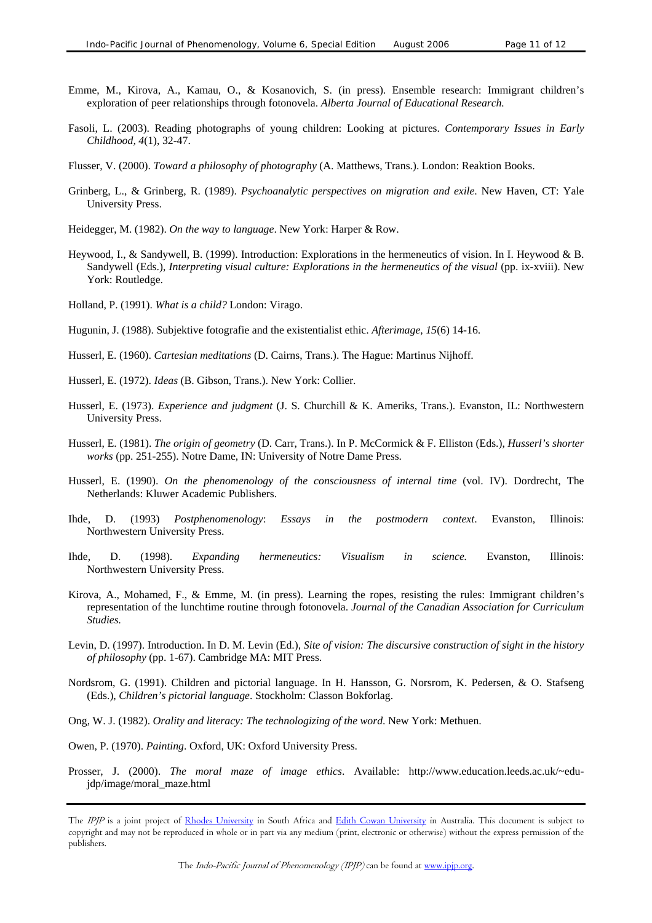- Emme, M., Kirova, A., Kamau, O., & Kosanovich, S. (in press). Ensemble research: Immigrant children's exploration of peer relationships through fotonovela. *Alberta Journal of Educational Research.*
- Fasoli, L. (2003). Reading photographs of young children: Looking at pictures. *Contemporary Issues in Early Childhood, 4*(1), 32-47.
- Flusser, V. (2000). *Toward a philosophy of photography* (A. Matthews, Trans.). London: Reaktion Books.
- Grinberg, L., & Grinberg, R. (1989). *Psychoanalytic perspectives on migration and exile*. New Haven, CT: Yale University Press.
- Heidegger, M. (1982). *On the way to language*. New York: Harper & Row.
- Heywood, I., & Sandywell, B. (1999). Introduction: Explorations in the hermeneutics of vision. In I. Heywood & B. Sandywell (Eds.), *Interpreting visual culture: Explorations in the hermeneutics of the visual* (pp. ix-xviii). New York: Routledge.
- Holland, P. (1991). *What is a child?* London: Virago.
- Hugunin, J. (1988). Subjektive fotografie and the existentialist ethic. *Afterimage, 15*(6) 14-16.
- Husserl, E. (1960). *Cartesian meditations* (D. Cairns, Trans.). The Hague: Martinus Nijhoff.
- Husserl, E. (1972). *Ideas* (B. Gibson, Trans.). New York: Collier.
- Husserl, E. (1973). *Experience and judgment* (J. S. Churchill & K. Ameriks, Trans.). Evanston, IL: Northwestern University Press.
- Husserl, E. (1981). *The origin of geometry* (D. Carr, Trans.). In P. McCormick & F. Elliston (Eds.), *Husserl's shorter works* (pp. 251-255). Notre Dame, IN: University of Notre Dame Press.
- Husserl, E. (1990). *On the phenomenology of the consciousness of internal time* (vol. IV). Dordrecht, The Netherlands: Kluwer Academic Publishers.
- Ihde, D. (1993) *Postphenomenology*: *Essays in the postmodern context*. Evanston, Illinois: Northwestern University Press.
- Ihde, D. (1998). *Expanding hermeneutics: Visualism in science.* Evanston, Illinois: Northwestern University Press.
- Kirova, A., Mohamed, F., & Emme, M. (in press). Learning the ropes, resisting the rules: Immigrant children's representation of the lunchtime routine through fotonovela. *Journal of the Canadian Association for Curriculum Studies.*
- Levin, D. (1997). Introduction. In D. M. Levin (Ed.), *Site of vision: The discursive construction of sight in the history of philosophy* (pp. 1-67). Cambridge MA: MIT Press.
- Nordsrom, G. (1991). Children and pictorial language. In H. Hansson, G. Norsrom, K. Pedersen, & O. Stafseng (Eds.), *Children's pictorial language*. Stockholm: Classon Bokforlag.
- Ong, W. J. (1982). *Orality and literacy: The technologizing of the word*. New York: Methuen.
- Owen, P. (1970). *Painting*. Oxford, UK: Oxford University Press.
- Prosser, J. (2000). *The moral maze of image ethics*. Available: http://www.education.leeds.ac.uk/~edujdp/image/moral\_maze.html

The IPJP is a joint project of Rhodes University in South Africa and Edith Cowan University in Australia. This document is subject to copyright and may not be reproduced in whole or in part via any medium (print, electronic or otherwise) without the express permission of the publishers.